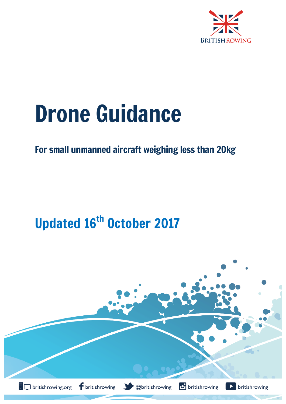

# Drone Guidance

## For small unmanned aircraft weighing less than 20kg

## Updated 16<sup>th</sup> October 2017

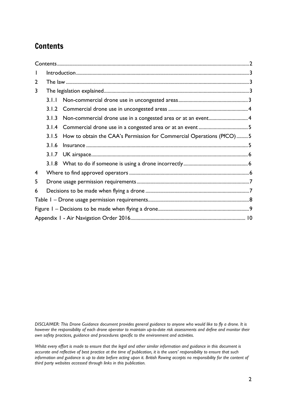## **Contents**

| $\mathsf{I}$   |       |                                                                      |  |  |  |  |
|----------------|-------|----------------------------------------------------------------------|--|--|--|--|
| $\overline{2}$ |       |                                                                      |  |  |  |  |
| 3              |       |                                                                      |  |  |  |  |
|                | 3.1.1 |                                                                      |  |  |  |  |
|                | 3.1.2 |                                                                      |  |  |  |  |
|                | 3.1.3 |                                                                      |  |  |  |  |
|                | 3.1.4 |                                                                      |  |  |  |  |
|                | 3.1.5 | How to obtain the CAA's Permission for Commercial Operations (PfCO)5 |  |  |  |  |
|                | 3.1.6 |                                                                      |  |  |  |  |
|                | 3.1.7 |                                                                      |  |  |  |  |
|                |       |                                                                      |  |  |  |  |
| 4              |       |                                                                      |  |  |  |  |
| 5              |       |                                                                      |  |  |  |  |
| 6              |       |                                                                      |  |  |  |  |
|                |       |                                                                      |  |  |  |  |
|                |       |                                                                      |  |  |  |  |
|                |       |                                                                      |  |  |  |  |

*DISCLAIMER: This Drone Guidance document provides general guidance to anyone who would like to fly a drone. It is however the responsibility of each drone operator to maintain up-to-date risk assessments and define and monitor their own safety practices, guidance and procedures specific to the environment and activities.*

*Whilst every effort is made to ensure that the legal and other similar information and guidance in this document is accurate and reflective of best practice at the time of publication, it is the users' responsibility to ensure that such information and guidance is up to date before acting upon it. British Rowing accepts no responsibility for the content of third party websites accessed through links in this publication.*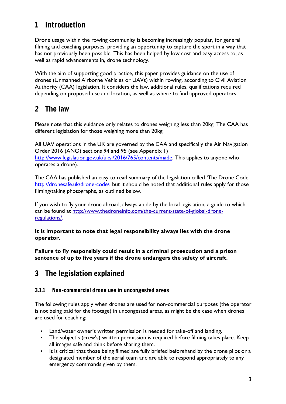## 1 Introduction

Drone usage within the rowing community is becoming increasingly popular, for general filming and coaching purposes, providing an opportunity to capture the sport in a way that has not previously been possible. This has been helped by low cost and easy access to, as well as rapid advancements in, drone technology.

With the aim of supporting good practice, this paper provides guidance on the use of drones (Unmanned Airborne Vehicles or UAVs) within rowing, according to Civil Aviation Authority (CAA) legislation. It considers the law, additional rules, qualifications required depending on proposed use and location, as well as where to find approved operators.

## 2 The law

Please note that this guidance only relates to drones weighing less than 20kg. The CAA has different legislation for those weighing more than 20kg.

All UAV operations in the UK are governed by the CAA and specifically the Air Navigation Order 2016 (ANO) sections 94 and 95 (see Appendix 1) http://www.legislation.gov.uk/uksi/2016/765/contents/made. This applies to anyone who operates a drone).

The CAA has published an easy to read summary of the legislation called 'The Drone Code' http://dronesafe.uk/drone-code/, but it should be noted that additional rules apply for those filming/taking photographs, as outlined below.

If you wish to fly your drone abroad, always abide by the local legislation, a guide to which can be found at http://www.thedroneinfo.com/the-current-state-of-global-droneregulations/.

**It is important to note that legal responsibility always lies with the drone operator.**

**Failure to fly responsibly could result in a criminal prosecution and a prison sentence of up to five years if the drone endangers the safety of aircraft.**

## 3 The legislation explained

#### 3.1.1 Non-commercial drone use in uncongested areas

The following rules apply when drones are used for non-commercial purposes (the operator is not being paid for the footage) in uncongested areas, as might be the case when drones are used for coaching:

- Land/water owner's written permission is needed for take-off and landing.
- The subject's (crew's) written permission is required before filming takes place. Keep all images safe and think before sharing them.
- It is critical that those being filmed are fully briefed beforehand by the drone pilot or a designated member of the aerial team and are able to respond appropriately to any emergency commands given by them.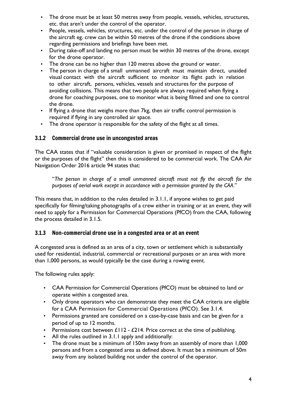- The drone must be at least 50 metres away from people, vessels, vehicles, structures, etc. that aren't under the control of the operator.
- People, vessels, vehicles, structures, etc. under the control of the person in charge of the aircraft eg. crew can be within 50 metres of the drone if the conditions above regarding permissions and briefings have been met.
- During take-off and landing no person must be within 30 metres of the drone, except for the drone operator.
- The drone can be no higher than 120 metres above the ground or water.
- The person in charge of a small unmanned aircraft must maintain direct, unaided visual contact with the aircraft sufficient to monitor its flight path in relation to other aircraft, persons, vehicles, vessels and structures for the purpose of avoiding collisions. This means that two people are always required when flying a drone for coaching purposes, one to monitor what is being filmed and one to control the drone.
- If flying a drone that weighs more than 7kg, then air traffic control permission is required if flying in any controlled air space.
- The drone operator is responsible for the safety of the flight at all times.

#### 3.1.2 Commercial drone use in uncongested areas

The CAA states that if "valuable consideration is given or promised in respect of the flight or the purposes of the flight" then this is considered to be commercial work. The CAA Air Navigation Order 2016 article 94 states that:

"*The person in charge of a small unmanned aircraft must not fly the aircraft for the purposes of aerial work except in accordance with a permission granted by the CAA*."

This means that, in addition to the rules detailed in 3.1.1, if anyone wishes to get paid specifically for filming/taking photographs of a crew either in training or at an event, they will need to apply for a Permission for Commercial Operations (PfCO) from the CAA, following the process detailed in 3.1.5.

#### 3.1.3 Non-commercial drone use in a congested area or at an event

A congested area is defined as an area of a city, town or settlement which is substantially used for residential, industrial, commercial or recreational purposes or an area with more than 1,000 persons, as would typically be the case during a rowing event.

The following rules apply:

- CAA Permission for Commercial Operations (PfCO) must be obtained to land or operate within a congested area.
- Only drone operators who can demonstrate they meet the CAA criteria are eligible for a CAA Permission for Commercial Operations (PfCO). See 3.1.4.
- Permissions granted are considered on a case-by-case basis and can be given for a period of up to 12 months.
- Permissions cost between  $£112 £214$ . Price correct at the time of publishing.
- All the rules outlined in 3.1.1 apply and additionally:
- The drone must be a minimum of 150m away from an assembly of more than 1,000 persons and from a congested area as defined above. It must be a minimum of 50m away from any isolated building not under the control of the operator.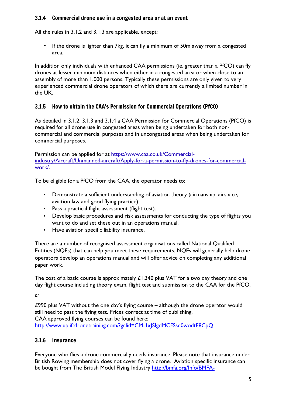#### 3.1.4 Commercial drone use in a congested area or at an event

All the rules in 3.1.2 and 3.1.3 are applicable, except:

• If the drone is lighter than 7kg, it can fly a minimum of 50m away from a congested area.

In addition only individuals with enhanced CAA permissions (ie. greater than a PfCO) can fly drones at lesser minimum distances when either in a congested area or when close to an assembly of more than 1,000 persons. Typically these permissions are only given to very experienced commercial drone operators of which there are currently a limited number in the UK.

#### 3.1.5 How to obtain the CAA's Permission for Commercial Operations (PfCO)

As detailed in 3.1.2, 3.1.3 and 3.1.4 a CAA Permission for Commercial Operations (PfCO) is required for all drone use in congested areas when being undertaken for both noncommercial and commercial purposes and in uncongested areas when being undertaken for commercial purposes.

Permission can be applied for at https://www.caa.co.uk/Commercialindustry/Aircraft/Unmanned-aircraft/Apply-for-a-permission-to-fly-drones-for-commercialwork/.

To be eligible for a PfCO from the CAA, the operator needs to:

- Demonstrate a sufficient understanding of aviation theory (airmanship, airspace, aviation law and good flying practice).
- Pass a practical flight assessment (flight test).
- Develop basic procedures and risk assessments for conducting the type of flights you want to do and set these out in an operations manual.
- Have aviation specific liability insurance.

There are a number of recognised assessment organisations called National Qualified Entities (NQEs) that can help you meet these requirements. NQEs will generally help drone operators develop an operations manual and will offer advice on completing any additional paper work.

The cost of a basic course is approximately  $£1,340$  plus VAT for a two day theory and one day flight course including theory exam, flight test and submission to the CAA for the PfCO.

*or* 

£990 plus VAT without the one day's flying course – although the drone operator would still need to pass the flying test. Prices correct at time of publishing. CAA approved flying courses can be found here: http://www.upliftdronetraining.com/?gclid=CM-1xJSIgdMCFSsq0wodtE8CpQ

#### 3.1.6 Insurance

Everyone who flies a drone commercially needs insurance. Please note that insurance under British Rowing membership does not cover flying a drone. Aviation specific insurance can be bought from The British Model Flying Industry http://bmfa.org/Info/BMFA-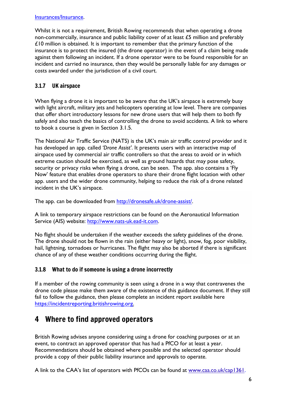#### Insurances/Insurance.

Whilst it is not a requirement, British Rowing recommends that when operating a drone non-commercially, insurance and public liability cover of at least £5 million and preferably £10 million is obtained. It is important to remember that the primary function of the insurance is to protect the insured (the drone operator) in the event of a claim being made against them following an incident. If a drone operator were to be found responsible for an incident and carried no insurance, then they would be personally liable for any damages or costs awarded under the jurisdiction of a civil court.

#### 3.1.7 UK airspace

When flying a drone it is important to be aware that the UK's airspace is extremely busy with light aircraft, military jets and helicopters operating at low level. There are companies that offer short introductory lessons for new drone users that will help them to both fly safely and also teach the basics of controlling the drone to avoid accidents. A link to where to book a course is given in Section 3.1.5.

The National Air Traffic Service (NATS) is the UK's main air traffic control provider and it has developed an app. called *'Drone Assist'*. It presents users with an interactive map of airspace used by commercial air traffic controllers so that the areas to avoid or in which extreme caution should be exercised, as well as ground hazards that may pose safety, security or privacy risks when flying a drone, can be seen. The app. also contains a 'Fly Now' feature that enables drone operators to share their drone flight location with other app. users and the wider drone community, helping to reduce the risk of a drone related incident in the UK's airspace.

The app. can be downloaded from http://dronesafe.uk/drone-assist/.

A link to temporary airspace restrictions can be found on the Aeronautical Information Service (AIS) website: http://www.nats-uk.ead-it.com.

No flight should be undertaken if the weather exceeds the safety guidelines of the drone. The drone should not be flown in the rain (either heavy or light), snow, fog, poor visibility, hail, lightning, tornadoes or hurricanes. The flight may also be aborted if there is significant chance of any of these weather conditions occurring during the flight.

#### 3.1.8 What to do if someone is using a drone incorrectly

If a member of the rowing community is seen using a drone in a way that contravenes the drone code please make them aware of the existence of this guidance document. If they still fail to follow the guidance, then please complete an incident report available here https://incidentreporting.britishrowing.org.

## 4 Where to find approved operators

British Rowing advises anyone considering using a drone for coaching purposes or at an event, to contract an approved operator that has had a PfCO for at least a year. Recommendations should be obtained where possible and the selected operator should provide a copy of their public liability insurance and approvals to operate.

A link to the CAA's list of operators with PfCOs can be found at www.caa.co.uk/cap1361.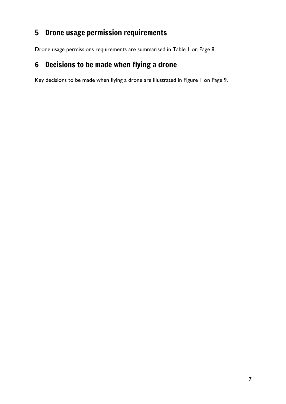## 5 Drone usage permission requirements

Drone usage permissions requirements are summarised in Table 1 on Page 8.

## 6 Decisions to be made when flying a drone

Key decisions to be made when flying a drone are illustrated in Figure 1 on Page 9.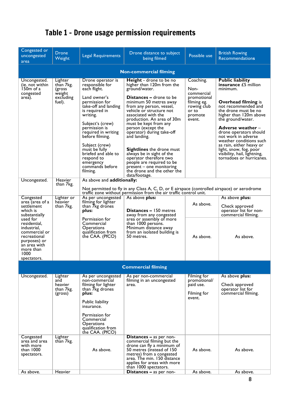| Congested or<br>uncongested<br>area                                                                                                          | <b>Drone</b><br>Weight                                          | <b>Legal Requirements</b>                                                                                                                                                                                                                                                                                                                       | Drone distance to subject<br>being filmed                                                                                                                                                                                                                                                                                                                                                                                                                                                                                            | Possible use                                                                                               | <b>British Rowing</b><br><b>Recommendations</b>                                                                                                                                                                                                                                                                                                                                                                   |  |  |  |  |  |
|----------------------------------------------------------------------------------------------------------------------------------------------|-----------------------------------------------------------------|-------------------------------------------------------------------------------------------------------------------------------------------------------------------------------------------------------------------------------------------------------------------------------------------------------------------------------------------------|--------------------------------------------------------------------------------------------------------------------------------------------------------------------------------------------------------------------------------------------------------------------------------------------------------------------------------------------------------------------------------------------------------------------------------------------------------------------------------------------------------------------------------------|------------------------------------------------------------------------------------------------------------|-------------------------------------------------------------------------------------------------------------------------------------------------------------------------------------------------------------------------------------------------------------------------------------------------------------------------------------------------------------------------------------------------------------------|--|--|--|--|--|
| <b>Non-commercial filming</b>                                                                                                                |                                                                 |                                                                                                                                                                                                                                                                                                                                                 |                                                                                                                                                                                                                                                                                                                                                                                                                                                                                                                                      |                                                                                                            |                                                                                                                                                                                                                                                                                                                                                                                                                   |  |  |  |  |  |
| Uncongested.<br>(ie. not within<br>150m of a<br>congested<br>area).                                                                          | Lighter<br>than 7kg.<br>(gross<br>weight<br>excluding<br>fuel). | Drone operator is<br>responsible for<br>each flight.<br>Land owner's<br>permission for<br>take-off and landing<br>is required in<br>writing.<br>Subject's (crew)<br>permission is<br>required in writing<br>before filming.<br>Subject (crew)<br>must be fully<br>briefed and able to<br>respond to<br>emergency<br>commands before<br>filming. | <b>Height</b> - drone to be no<br>higher than 120m from the<br>ground/water.<br><b>Distances –</b> drone to be<br>minimum 50 metres away<br>from any person, vessel,<br>vehicle or structure not<br>associated with the<br>production. An area of 30m<br>must be kept from any<br>person (except the<br>operator) during take-off<br>and landing.<br><b>Sightlines</b> the drone must<br>always be in sight of the<br>operator therefore two<br>people are required to be<br>present - one monitoring<br>the drone and the other the | Coaching.<br>Non-<br>commercial<br>promotional<br>filming eg.<br>rowing club<br>or to<br>promote<br>event. | <b>Public liability</b><br><b>insurance £5</b> million<br>minimum.<br><b>Overhead filming is</b><br>not recommended and<br>the drone must be no<br>higher than 120m above<br>the ground/water.<br>Adverse weather –<br>drone operators should<br>not work in adverse<br>weather conditions such<br>as rain, either heavy or<br>light, snow, fog, poor<br>visibility, hail, lightning,<br>tornadoes or hurricanes. |  |  |  |  |  |
|                                                                                                                                              |                                                                 |                                                                                                                                                                                                                                                                                                                                                 | data/footage.                                                                                                                                                                                                                                                                                                                                                                                                                                                                                                                        |                                                                                                            |                                                                                                                                                                                                                                                                                                                                                                                                                   |  |  |  |  |  |
| Uncongested.                                                                                                                                 | Heavier<br>than 7kg.                                            | As above and additionally:<br>Not permitted to fly in any Class A, C, D, or E airspace (controlled airspace) or aerodrome                                                                                                                                                                                                                       |                                                                                                                                                                                                                                                                                                                                                                                                                                                                                                                                      |                                                                                                            |                                                                                                                                                                                                                                                                                                                                                                                                                   |  |  |  |  |  |
| Congested                                                                                                                                    | Lighter or                                                      |                                                                                                                                                                                                                                                                                                                                                 | traffic zone without permission from the air traffic control unit.<br>As above plus:                                                                                                                                                                                                                                                                                                                                                                                                                                                 |                                                                                                            | As above plus:                                                                                                                                                                                                                                                                                                                                                                                                    |  |  |  |  |  |
| area (area of a<br>settlement<br>which is<br>substantially                                                                                   | heavier<br>than 7kg.                                            | As per uncongested<br>filming for lighter<br>than 7kg drones<br>plus:                                                                                                                                                                                                                                                                           | <b>Distances - 150 metres</b><br>away from any congested<br>area or assembly of more<br>than 1000 persons.<br>Minimum distance away<br>from an isolated building is<br>50 metres.                                                                                                                                                                                                                                                                                                                                                    | As above.                                                                                                  | Check approved<br>operator list for non-<br>commercial filming.                                                                                                                                                                                                                                                                                                                                                   |  |  |  |  |  |
| used for<br>residential,<br>industrial,<br>commercial or<br>recreational<br>purposes) or<br>an area with<br>more than<br>1000<br>spectators. |                                                                 | Permission for<br>Commercial<br><b>Operations</b><br>qualification from<br>the CAA. (PfCO)                                                                                                                                                                                                                                                      |                                                                                                                                                                                                                                                                                                                                                                                                                                                                                                                                      | As above.                                                                                                  | As above.                                                                                                                                                                                                                                                                                                                                                                                                         |  |  |  |  |  |
|                                                                                                                                              |                                                                 |                                                                                                                                                                                                                                                                                                                                                 | <b>Commercial filming</b>                                                                                                                                                                                                                                                                                                                                                                                                                                                                                                            |                                                                                                            |                                                                                                                                                                                                                                                                                                                                                                                                                   |  |  |  |  |  |
|                                                                                                                                              |                                                                 |                                                                                                                                                                                                                                                                                                                                                 |                                                                                                                                                                                                                                                                                                                                                                                                                                                                                                                                      |                                                                                                            |                                                                                                                                                                                                                                                                                                                                                                                                                   |  |  |  |  |  |
| Uncongested.                                                                                                                                 | Lighter<br>and<br>heavier<br>than 7kg.<br>(gross)               | As per uncongested<br>non-commercial<br>filming for lighter<br>than 7kg drones<br>plus:<br>Public liability<br>insurance.<br>Permission for<br>Commercial<br><b>Operations</b><br>qualification from<br>the CAA. (PfCO)                                                                                                                         | As per non-commercial<br>filming in an uncongested<br>area.                                                                                                                                                                                                                                                                                                                                                                                                                                                                          | Filming for<br>promotional/<br>paid use.<br>Filming for<br>event.                                          | As above plus:<br>Check approved<br>operator list for<br>commercial filming.                                                                                                                                                                                                                                                                                                                                      |  |  |  |  |  |
| Congested<br>area and area<br>with more<br>than 1000<br>spectators.                                                                          | Lighter<br>than 7kg.                                            | As above.                                                                                                                                                                                                                                                                                                                                       | <b>Distances – as per non-</b><br>commercial filming but the<br>drone can fly a minimum of<br>50 metres (instead of 150<br>metres) from a congested<br>area. The min. 150 distance<br>applies for areas with more<br>than 1000 spectators.                                                                                                                                                                                                                                                                                           | As above.                                                                                                  | As above.                                                                                                                                                                                                                                                                                                                                                                                                         |  |  |  |  |  |
| As above.                                                                                                                                    | Heavier                                                         |                                                                                                                                                                                                                                                                                                                                                 | Distances - as per non-                                                                                                                                                                                                                                                                                                                                                                                                                                                                                                              | As above.                                                                                                  | As above.                                                                                                                                                                                                                                                                                                                                                                                                         |  |  |  |  |  |

## Table 1 – Drone usage permission requirements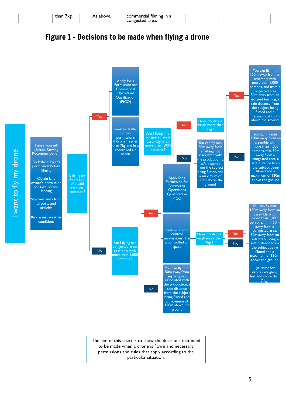| 7 kg.<br>tnan | `bove. | ' in a<br>TIIMINY<br>-OF<br>cial |  |
|---------------|--------|----------------------------------|--|
|               |        |                                  |  |
|               |        | area.<br>ິ                       |  |

### Figure 1 – Decisions to be made when flying a drone



to be made when a drone is flown and necessary permissions and rules that apply according to the particular situation.